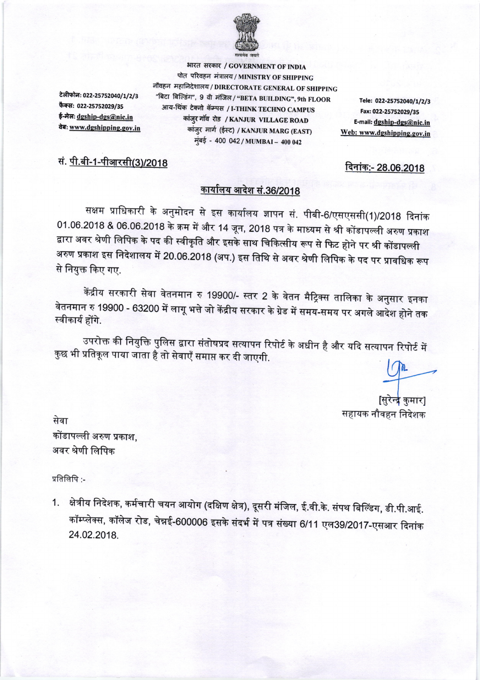

टेलीफोन: 022-25752040/1/2/3 फैक्स: 022-25752029/35 ई-मेल: dgship-dgs@nic.in वेबः www.dgshipping.gov.in

भारत सरकार / GOVERNMENT OF INDIA पोत परिवहन मंत्रालय / MINISTRY OF SHIPPING नौवहन महानिदेशालय / DIRECTORATE GENERAL OF SHIPPING "बिटा बिल्डिंग", 9 वी मंजिल / "BETA BUILDING", 9th FLOOR आय-थिंक टेक्नो कॅम्पस / I-THINK TECHNO CAMPUS कांज़ुर गाँव रोड / KANJUR VILLAGE ROAD कांजुर मार्ग (ईस्ट) / KANJUR MARG (EAST) मुंबई - 400 042 / MUMBAI - 400 042

Tele: 022-25752040/1/2/3 Fax: 022-25752029/35 E-mail: dgship-dgs@nic.in Web: www.dgshipping.gov.in

## सं. <u>पी.बी-1-पीआरसी(3)/2018</u>

दिनांक:- 28.06.2018

## <u>कार्यालय आदेश सं.36/2018</u>

सक्षम प्राधिकारी के अनुमोदन से इस कार्यालय ज्ञापन सं. पीबी-6/एसएससी(1)/2018 दिनांक 01.06.2018 & 06.06.2018 के क्रम में और 14 जून, 2018 पत्र के माध्यम से श्री कोंडापल्ली अरुण प्रकाश द्वारा अवर श्रेणी लिपिक के पद की स्वीकृति और इसके साथ चिकित्सीय रूप से फिट होने पर श्री कोंडापल्ली अरुण प्रकाश इस निदेशालय में 20.06.2018 (अप.) इस तिथि से अवर श्रेणी लिपिक के पद पर प्रावधिक रूप से नियुक्त किए गए.

केंद्रीय सरकारी सेवा वेतनमान रु 19900/- स्तर 2 के वेतन मैट्रिक्स तालिका के अनुसार इनका वेतनमान रु 19900 - 63200 में लागू भत्ते जो केंद्रीय सरकार के ग्रेड में समय-समय पर अगले आदेश होने तक स्वीकार्य होंगे.

उपरोक्त की नियुक्ति पुलिस द्वारा संतोषप्रद सत्यापन रिपोर्ट के अधीन है और यदि सत्यापन रिपोर्ट में कुछ भी प्रतिकूल पाया जाता है तो सेवाएँ समाप्त कर दी जाएगी.

[सुरेन्द्र कुमार] सहायक नौवहन निदेशक

सेवा कोंडापल्ली अरुण प्रकाश, अवर श्रेणी लिपिक

प्रतिलिपि:-

क्षेत्रीय निदेशक, कर्मचारी चयन आयोग (दक्षिण क्षेत्र), दूसरी मंजिल, ई.वी.के. संपथ बिल्डिंग, डी.पी.आई.  $1.$ कॉम्प्लेक्स, कॉलेज रोड, चेन्नई-600006 इसके संदर्भ में पत्र संख्या 6/11 एल39/2017-एसआर दिनांक 24.02.2018.